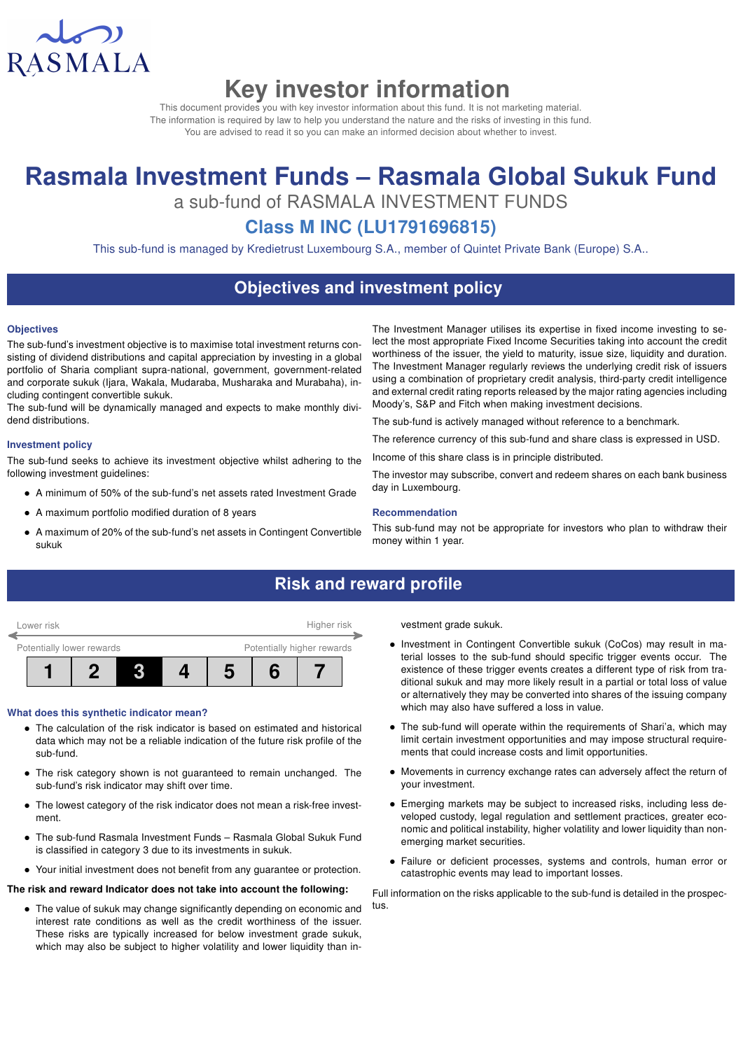

# Key investor information

This document provides you with key investor information about this fund. It is not marketing material. The information is required by law to help you understand the nature and the risks of investing in this fund. You are advised to read it so you can make an informed decision about whether to invest.

# Rasmala Investment Funds – Rasmala Global Sukuk Fund

a sub-fund of RASMALA INVESTMENT FUNDS

# Class M INC (LU1791696815)

This sub-fund is managed by Kredietrust Luxembourg S.A., member of Quintet Private Bank (Europe) S.A..

## Objectives and investment policy

#### **Objectives**

The sub-fund's investment objective is to maximise total investment returns consisting of dividend distributions and capital appreciation by investing in a global portfolio of Sharia compliant supra-national, government, government-related and corporate sukuk (Ijara, Wakala, Mudaraba, Musharaka and Murabaha), including contingent convertible sukuk.

The sub-fund will be dynamically managed and expects to make monthly dividend distributions.

#### Investment policy

The sub-fund seeks to achieve its investment objective whilst adhering to the following investment guidelines:

- A minimum of 50% of the sub-fund's net assets rated Investment Grade
- A maximum portfolio modified duration of 8 years
- A maximum of 20% of the sub-fund's net assets in Contingent Convertible sukuk

The Investment Manager utilises its expertise in fixed income investing to select the most appropriate Fixed Income Securities taking into account the credit worthiness of the issuer, the yield to maturity, issue size, liquidity and duration. The Investment Manager regularly reviews the underlying credit risk of issuers using a combination of proprietary credit analysis, third-party credit intelligence and external credit rating reports released by the major rating agencies including Moody's, S&P and Fitch when making investment decisions.

The sub-fund is actively managed without reference to a benchmark.

The reference currency of this sub-fund and share class is expressed in USD.

Income of this share class is in principle distributed.

The investor may subscribe, convert and redeem shares on each bank business day in Luxembourg.

#### Recommendation

This sub-fund may not be appropriate for investors who plan to withdraw their money within 1 year.

# Risk and reward profile



#### What does this synthetic indicator mean?

- The calculation of the risk indicator is based on estimated and historical data which may not be a reliable indication of the future risk profile of the sub-fund.
- The risk category shown is not guaranteed to remain unchanged. The sub-fund's risk indicator may shift over time.
- The lowest category of the risk indicator does not mean a risk-free investment.
- The sub-fund Rasmala Investment Funds Rasmala Global Sukuk Fund is classified in category 3 due to its investments in sukuk.
- Your initial investment does not benefit from any guarantee or protection.

#### The risk and reward Indicator does not take into account the following:

• The value of sukuk may change significantly depending on economic and interest rate conditions as well as the credit worthiness of the issuer. These risks are typically increased for below investment grade sukuk, which may also be subject to higher volatility and lower liquidity than investment grade sukuk.

- Investment in Contingent Convertible sukuk (CoCos) may result in material losses to the sub-fund should specific trigger events occur. The existence of these trigger events creates a different type of risk from traditional sukuk and may more likely result in a partial or total loss of value or alternatively they may be converted into shares of the issuing company which may also have suffered a loss in value.
- The sub-fund will operate within the requirements of Shari'a, which may limit certain investment opportunities and may impose structural requirements that could increase costs and limit opportunities.
- Movements in currency exchange rates can adversely affect the return of your investment.
- Emerging markets may be subject to increased risks, including less developed custody, legal regulation and settlement practices, greater economic and political instability, higher volatility and lower liquidity than nonemerging market securities.
- Failure or deficient processes, systems and controls, human error or catastrophic events may lead to important losses.

Full information on the risks applicable to the sub-fund is detailed in the prospectus.